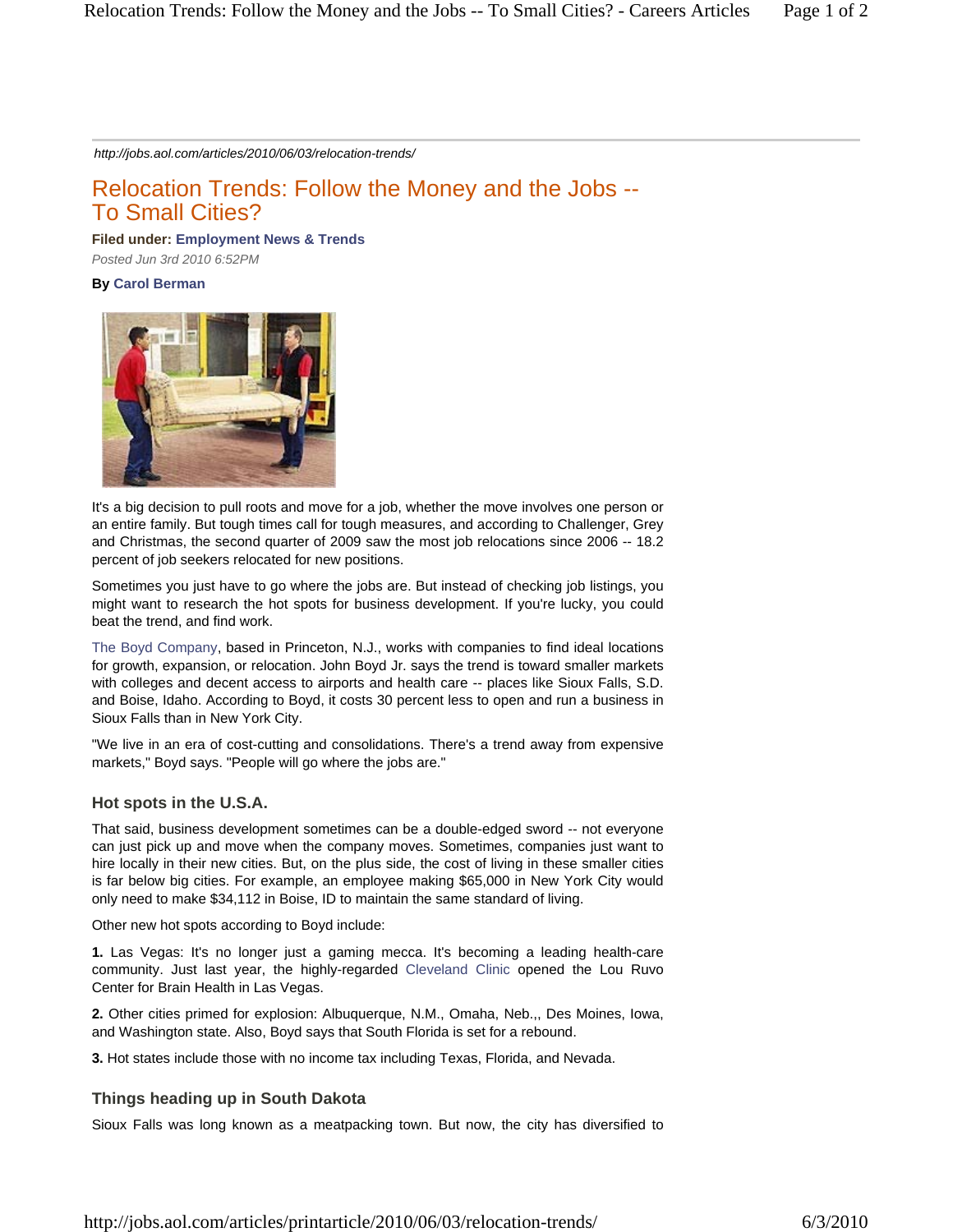*http://jobs.aol.com/articles/2010/06/03/relocation-trends/*

# Relocation Trends: Follow the Money and the Jobs -- To Small Cities?

**Filed under: Employment News & Trends** 

*Posted Jun 3rd 2010 6:52PM* 

### **By Carol Berman**



It's a big decision to pull roots and move for a job, whether the move involves one person or an entire family. But tough times call for tough measures, and according to Challenger, Grey and Christmas, the second quarter of 2009 saw the most job relocations since 2006 -- 18.2 percent of job seekers relocated for new positions.

Sometimes you just have to go where the jobs are. But instead of checking job listings, you might want to research the hot spots for business development. If you're lucky, you could beat the trend, and find work.

The Boyd Company, based in Princeton, N.J., works with companies to find ideal locations for growth, expansion, or relocation. John Boyd Jr. says the trend is toward smaller markets with colleges and decent access to airports and health care -- places like Sioux Falls, S.D. and Boise, Idaho. According to Boyd, it costs 30 percent less to open and run a business in Sioux Falls than in New York City.

"We live in an era of cost-cutting and consolidations. There's a trend away from expensive markets," Boyd says. "People will go where the jobs are."

#### **Hot spots in the U.S.A.**

That said, business development sometimes can be a double-edged sword -- not everyone can just pick up and move when the company moves. Sometimes, companies just want to hire locally in their new cities. But, on the plus side, the cost of living in these smaller cities is far below big cities. For example, an employee making \$65,000 in New York City would only need to make \$34,112 in Boise, ID to maintain the same standard of living.

Other new hot spots according to Boyd include:

**1.** Las Vegas: It's no longer just a gaming mecca. It's becoming a leading health-care community. Just last year, the highly-regarded Cleveland Clinic opened the Lou Ruvo Center for Brain Health in Las Vegas.

**2.** Other cities primed for explosion: Albuquerque, N.M., Omaha, Neb.,, Des Moines, Iowa, and Washington state. Also, Boyd says that South Florida is set for a rebound.

**3.** Hot states include those with no income tax including Texas, Florida, and Nevada.

## **Things heading up in South Dakota**

Sioux Falls was long known as a meatpacking town. But now, the city has diversified to